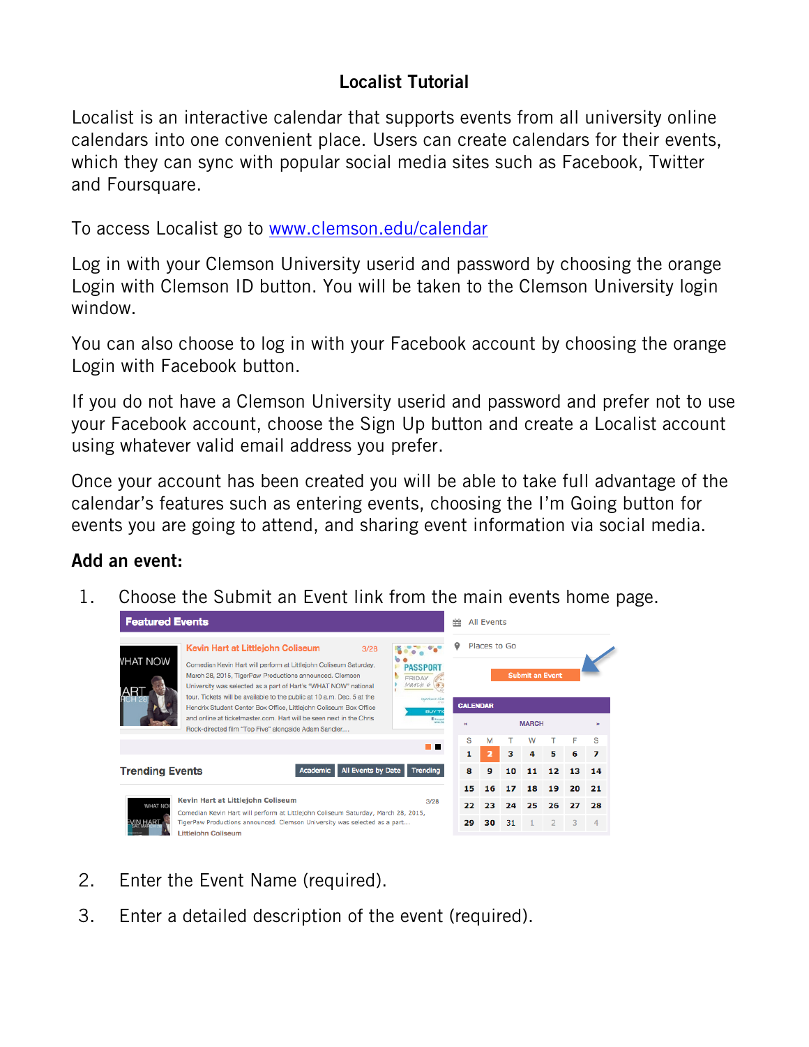## Localist Tutorial

Localist is an interactive calendar that supports events from all university online calendars into one convenient place. Users can create calendars for their events, which they can sync with popular social media sites such as Facebook, Twitter and Foursquare.

To access Localist go to www.clemson.edu/calendar

Log in with your Clemson University userid and password by choosing the orange Login with Clemson ID button. You will be taken to the Clemson University login window.

You can also choose to log in with your Facebook account by choosing the orange Login with Facebook button.

If you do not have a Clemson University userid and password and prefer not to use your Facebook account, choose the Sign Up button and create a Localist account using whatever valid email address you prefer.

Once your account has been created you will be able to take full advantage of the calendar's features such as entering events, choosing the I'm Going button for events you are going to attend, and sharing event information via social media.

## Add an event:

1. Choose the Submit an Event link from the main events home page.



- 2. Enter the Event Name (required).
- 3. Enter a detailed description of the event (required).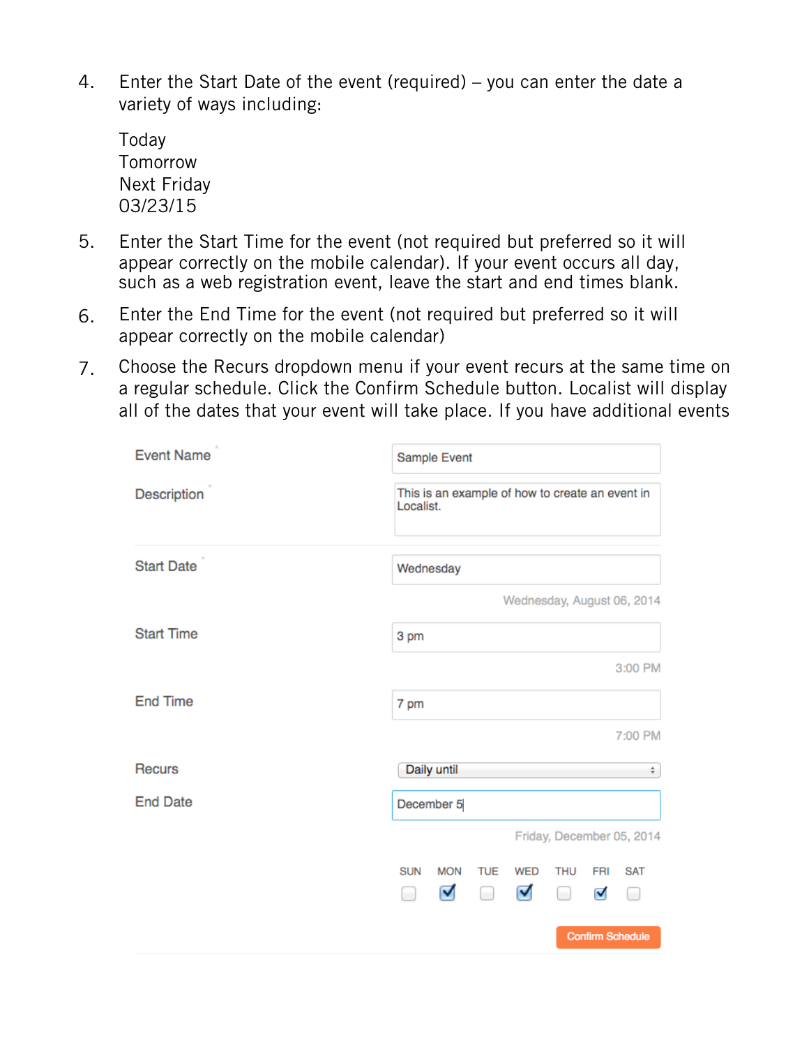4. Enter the Start Date of the event (required) – you can enter the date a variety of ways including:

Today **Tomorrow** Next Friday 03/23/15

- 5. Enter the Start Time for the event (not required but preferred so it will appear correctly on the mobile calendar). If your event occurs all day, such as a web registration event, leave the start and end times blank.
- 6. Enter the End Time for the event (not required but preferred so it will appear correctly on the mobile calendar)
- 7. Choose the Recurs dropdown menu if your event recurs at the same time on a regular schedule. Click the Confirm Schedule button. Localist will display all of the dates that your event will take place. If you have additional events

| <b>Event Name</b> | Sample Event                                                 |                      |        |            |            |     |                            |  |  |
|-------------------|--------------------------------------------------------------|----------------------|--------|------------|------------|-----|----------------------------|--|--|
| Description       | This is an example of how to create an event in<br>Localist. |                      |        |            |            |     |                            |  |  |
| <b>Start Date</b> |                                                              | Wednesday            |        |            |            |     |                            |  |  |
|                   |                                                              |                      |        |            |            |     | Wednesday, August 06, 2014 |  |  |
| <b>Start Time</b> | 3 pm                                                         |                      |        |            |            |     |                            |  |  |
|                   |                                                              |                      |        |            |            |     | 3:00 PM                    |  |  |
| <b>End Time</b>   | 7 pm                                                         |                      |        |            |            |     |                            |  |  |
|                   |                                                              |                      |        |            |            |     | 7:00 PM                    |  |  |
| <b>Recurs</b>     |                                                              | Daily until          |        |            |            |     | ÷                          |  |  |
| <b>End Date</b>   | December 5                                                   |                      |        |            |            |     |                            |  |  |
|                   |                                                              |                      |        |            |            |     | Friday, December 05, 2014  |  |  |
|                   | <b>SUN</b>                                                   | <b>MON</b>           | TUE    | <b>WED</b> | <b>THU</b> | FRI | <b>SAT</b>                 |  |  |
|                   | $\Box$                                                       | $\blacktriangledown$ | $\Box$ | び          | $\Box$     | V   | O                          |  |  |
|                   |                                                              |                      |        |            |            |     | <b>Confirm Schedule</b>    |  |  |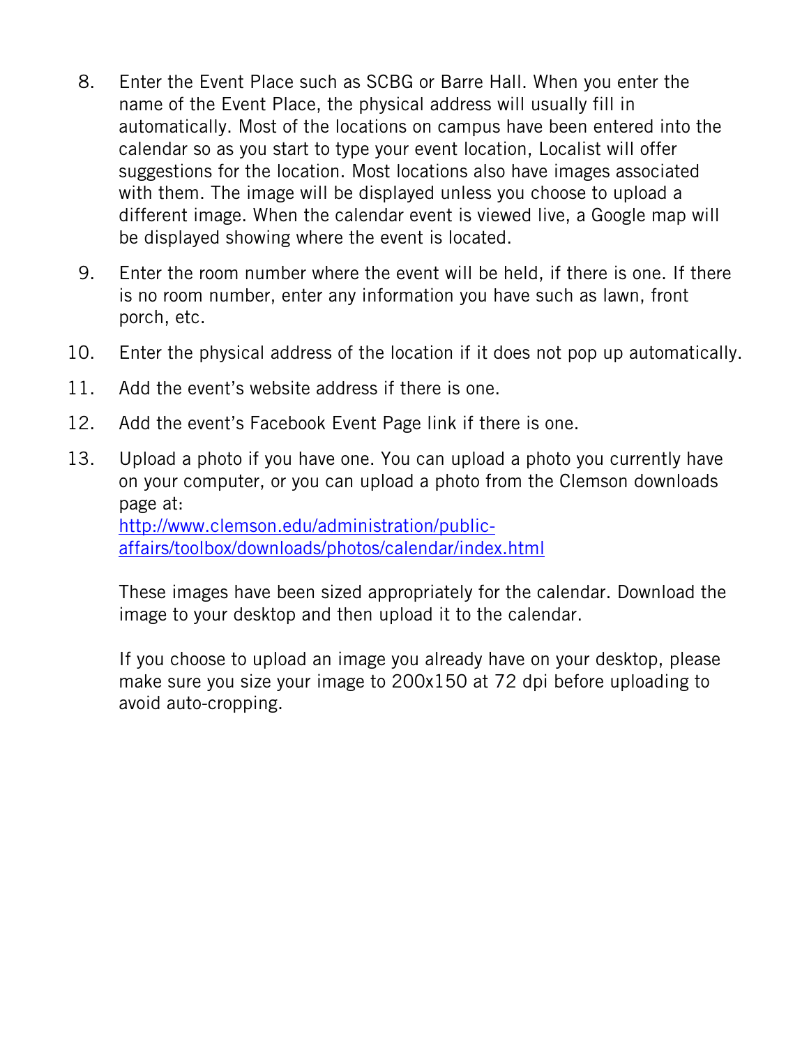- 8. Enter the Event Place such as SCBG or Barre Hall. When you enter the name of the Event Place, the physical address will usually fill in automatically. Most of the locations on campus have been entered into the calendar so as you start to type your event location, Localist will offer suggestions for the location. Most locations also have images associated with them. The image will be displayed unless you choose to upload a different image. When the calendar event is viewed live, a Google map will be displayed showing where the event is located.
- 9. Enter the room number where the event will be held, if there is one. If there is no room number, enter any information you have such as lawn, front porch, etc.
- 10. Enter the physical address of the location if it does not pop up automatically.
- 11. Add the event's website address if there is one.
- 12. Add the event's Facebook Event Page link if there is one.
- 13. Upload a photo if you have one. You can upload a photo you currently have on your computer, or you can upload a photo from the Clemson downloads page at: http://www.clemson.edu/administration/publicaffairs/toolbox/downloads/photos/calendar/index.html

These images have been sized appropriately for the calendar. Download the image to your desktop and then upload it to the calendar.

If you choose to upload an image you already have on your desktop, please make sure you size your image to 200x150 at 72 dpi before uploading to avoid auto-cropping.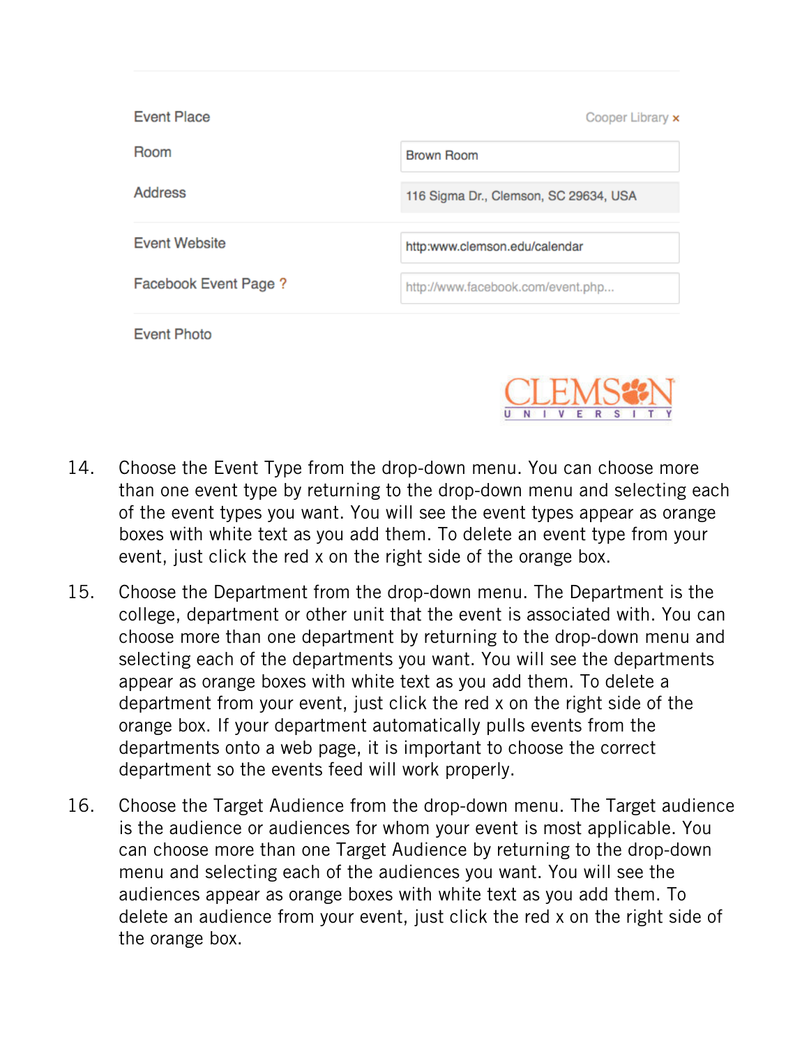| <b>Event Place</b>    | Cooper Library x                      |
|-----------------------|---------------------------------------|
| Room                  | Brown Room                            |
| <b>Address</b>        | 116 Sigma Dr., Clemson, SC 29634, USA |
| <b>Event Website</b>  | http:www.clemson.edu/calendar         |
| Facebook Event Page ? | http://www.facebook.com/event.php     |
| <b>Event Photo</b>    |                                       |



- 14. Choose the Event Type from the drop-down menu. You can choose more than one event type by returning to the drop-down menu and selecting each of the event types you want. You will see the event types appear as orange boxes with white text as you add them. To delete an event type from your event, just click the red x on the right side of the orange box.
- 15. Choose the Department from the drop-down menu. The Department is the college, department or other unit that the event is associated with. You can choose more than one department by returning to the drop-down menu and selecting each of the departments you want. You will see the departments appear as orange boxes with white text as you add them. To delete a department from your event, just click the red x on the right side of the orange box. If your department automatically pulls events from the departments onto a web page, it is important to choose the correct department so the events feed will work properly.
- 16. Choose the Target Audience from the drop-down menu. The Target audience is the audience or audiences for whom your event is most applicable. You can choose more than one Target Audience by returning to the drop-down menu and selecting each of the audiences you want. You will see the audiences appear as orange boxes with white text as you add them. To delete an audience from your event, just click the red x on the right side of the orange box.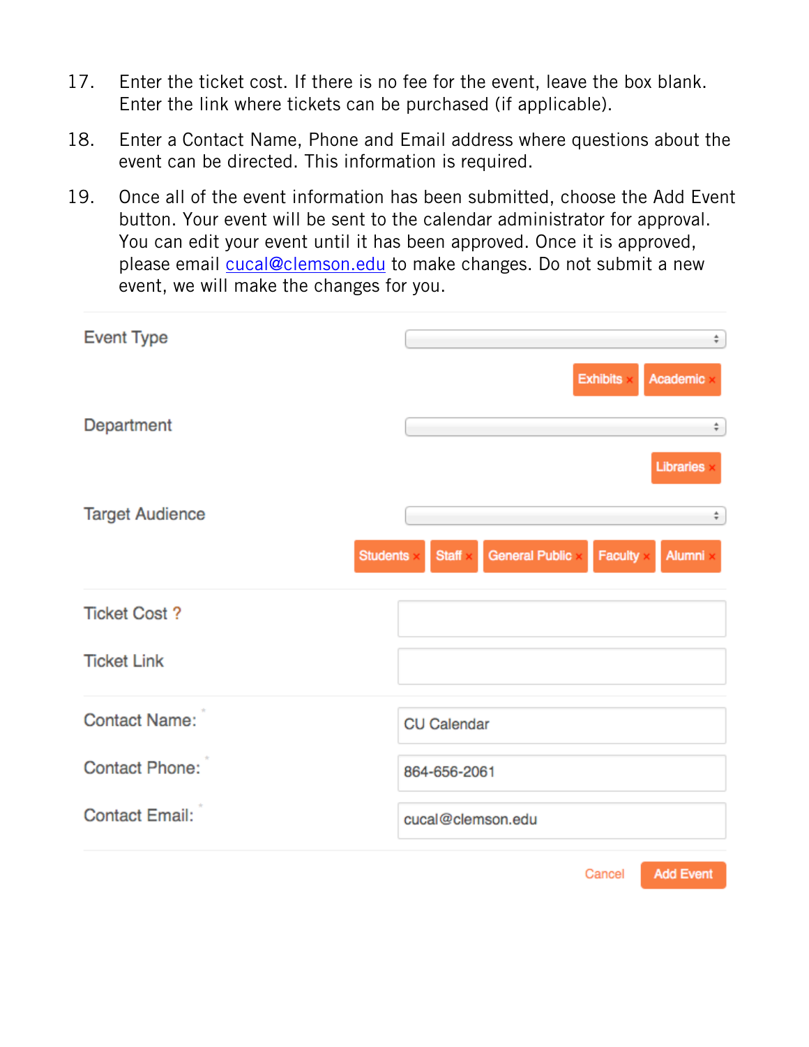- 17. Enter the ticket cost. If there is no fee for the event, leave the box blank. Enter the link where tickets can be purchased (if applicable).
- 18. Enter a Contact Name, Phone and Email address where questions about the event can be directed. This information is required.
- 19. Once all of the event information has been submitted, choose the Add Event button. Your event will be sent to the calendar administrator for approval. You can edit your event until it has been approved. Once it is approved, please email cucal@clemson.edu to make changes. Do not submit a new event, we will make the changes for you.

| <b>Event Type</b>      | ÷                                                                 |  |  |  |  |
|------------------------|-------------------------------------------------------------------|--|--|--|--|
|                        | <b>Exhibits</b><br>Academic                                       |  |  |  |  |
| Department             | ÷                                                                 |  |  |  |  |
|                        | Libraries                                                         |  |  |  |  |
| <b>Target Audience</b> | ÷                                                                 |  |  |  |  |
| <b>Students</b>        | <b>General Public</b><br><b>Staff</b><br><b>Faculty</b><br>Alumni |  |  |  |  |
| <b>Ticket Cost?</b>    |                                                                   |  |  |  |  |
| <b>Ticket Link</b>     |                                                                   |  |  |  |  |
| <b>Contact Name:</b>   | <b>CU Calendar</b>                                                |  |  |  |  |
| <b>Contact Phone:</b>  | 864-656-2061                                                      |  |  |  |  |
| <b>Contact Email:</b>  | cucal@clemson.edu                                                 |  |  |  |  |
|                        | <b>Add Event</b><br>Cancel                                        |  |  |  |  |